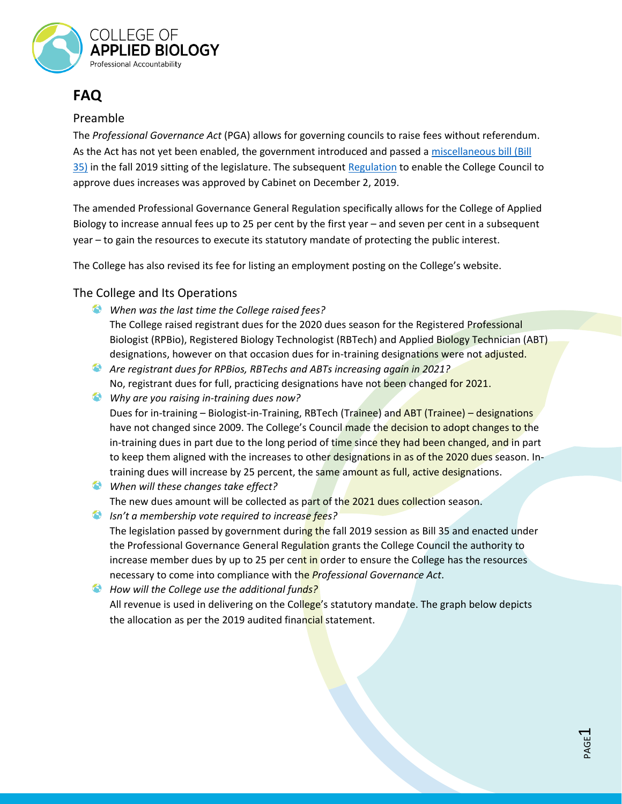

# **FAQ**

### Preamble

The *Professional Governance Act* (PGA) allows for governing councils to raise fees without referendum. As the Act has not yet been enabled, the government introduced and passed a [miscellaneous bill \(Bill](https://www.leg.bc.ca/Pages/BCLASS-Legacy.aspx#%2Fcontent%2Fdata%2520-%2520ldp%2Fpages%2F41st4th%2F3rd_read%2Fgov35-3.htm)  [35\)](https://www.leg.bc.ca/Pages/BCLASS-Legacy.aspx#%2Fcontent%2Fdata%2520-%2520ldp%2Fpages%2F41st4th%2F3rd_read%2Fgov35-3.htm) in the fall 2019 sitting of the legislature. The subsequent [Regulation](http://www.bclaws.ca/civix/document/id/oic/oic_cur/0628_2019) to enable the College Council to approve dues increases was approved by Cabinet on December 2, 2019.

The amended Professional Governance General Regulation specifically allows for the College of Applied Biology to increase annual fees up to 25 per cent by the first year – and seven per cent in a subsequent year – to gain the resources to execute its statutory mandate of protecting the public interest.

The College has also revised its fee for listing an employment posting on the College's website.

The College and Its Operations

- *When was the last time the College raised fees?*
	- The College raised registrant dues for the 2020 dues season for the Registered Professional Biologist (RPBio), Registered Biology Technologist (RBTech) and Applied Biology Technician (ABT) designations, however on that occasion dues for in-training designations were not adjusted.
- *Are registrant dues for RPBios, RBTechs and ABTs increasing again in 2021?* No, registrant dues for full, practicing designations have not been changed for 2021.
- *Why are you raising in-training dues now?* Dues for in-training - Biologist-in-Training, RBTech (Trainee) and ABT (Trainee) - designations have not changed since 2009. The College's Council made the decision to adopt changes to the in-training dues in part due to the long period of time since they had been changed, and in part to keep them aligned with the increases to other designations in as of the 2020 dues season. Intraining dues will increase by 25 percent, the same amount as full, active designations.
- *When will these changes take effect?* The new dues amount will be collected as part of the 2021 dues collection season.
- *Isn't a membership vote required to increase fees?* The legislation passed by government during the fall 2019 session as Bill 35 and enacted under the Professional Governance General Regulation grants the College Council the authority to increase member dues by up to 25 per cent in order to ensure the College has the resources necessary to come into compliance with the *Professional Governance Act*.
- *How will the College use the additional funds?* All revenue is used in delivering on the College's statutory mandate. The graph below depicts the allocation as per the 2019 audited financial statement.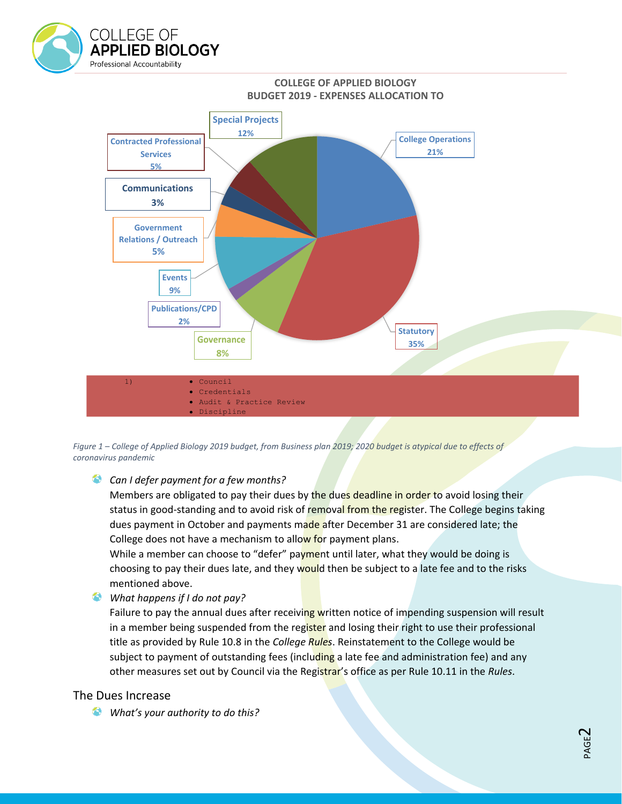

#### **COLLEGE OF APPLIED BIOLOGY BUDGET 2019 - EXPENSES ALLOCATION TO**



*Figure 1 – College of Applied Biology 2019 budget, from Business plan 2019; 2020 budget is atypical due to effects of coronavirus pandemic*

#### *Can I defer payment for a few months?*

Members are obligated to pay their dues by the dues deadline in order to avoid losing their status in good-standing and to avoid risk of removal from the register. The College begins taking dues payment in October and payments made after December 31 are considered late; the College does not have a mechanism to allow for payment plans.

While a member can choose to "defer" payment until later, what they would be doing is choosing to pay their dues late, and they would then be subject to a late fee and to the risks mentioned above.

*What happens if I do not pay?*

Failure to pay the annual dues after receiving written notice of impending suspension will result in a member being suspended from the register and losing their right to use their professional title as provided by Rule 10.8 in the *College Rules*. Reinstatement to the College would be subject to payment of outstanding fees (including a late fee and administration fee) and any other measures set out by Council via the Registrar's office as per Rule 10.11 in the *Rules*.

#### The Dues Increase

*What's your authority to do this?*